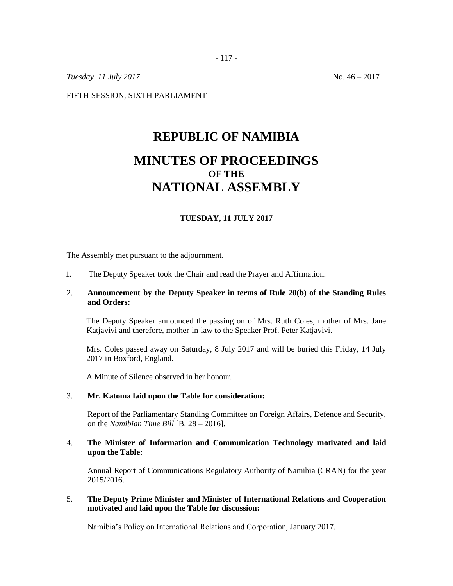- 117 -

*Tuesday,* 11 *July* 2017 No. 46 – 2017

FIFTH SESSION, SIXTH PARLIAMENT

# **REPUBLIC OF NAMIBIA MINUTES OF PROCEEDINGS OF THE NATIONAL ASSEMBLY**

## **TUESDAY, 11 JULY 2017**

The Assembly met pursuant to the adjournment.

1. The Deputy Speaker took the Chair and read the Prayer and Affirmation.

## 2. **Announcement by the Deputy Speaker in terms of Rule 20(b) of the Standing Rules and Orders:**

The Deputy Speaker announced the passing on of Mrs. Ruth Coles, mother of Mrs. Jane Katjavivi and therefore, mother-in-law to the Speaker Prof. Peter Katjavivi.

Mrs. Coles passed away on Saturday, 8 July 2017 and will be buried this Friday, 14 July 2017 in Boxford, England.

A Minute of Silence observed in her honour.

#### 3. **Mr. Katoma laid upon the Table for consideration:**

Report of the Parliamentary Standing Committee on Foreign Affairs, Defence and Security, on the *Namibian Time Bill* [B. 28 – 2016]*.*

# 4. **The Minister of Information and Communication Technology motivated and laid upon the Table:**

Annual Report of Communications Regulatory Authority of Namibia (CRAN) for the year 2015/2016.

## 5. **The Deputy Prime Minister and Minister of International Relations and Cooperation motivated and laid upon the Table for discussion:**

Namibia's Policy on International Relations and Corporation, January 2017.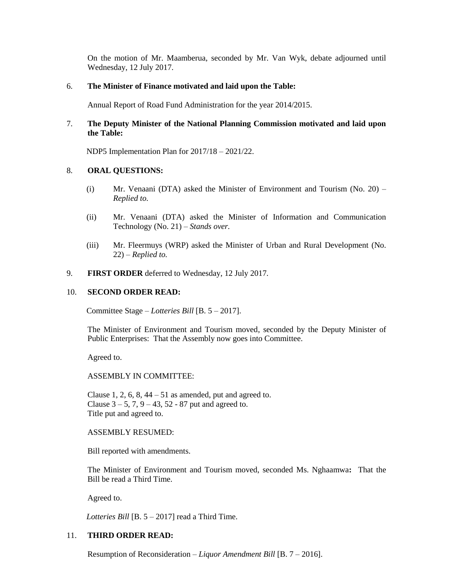On the motion of Mr. Maamberua, seconded by Mr. Van Wyk, debate adjourned until Wednesday, 12 July 2017.

#### 6. **The Minister of Finance motivated and laid upon the Table:**

Annual Report of Road Fund Administration for the year 2014/2015.

# 7. **The Deputy Minister of the National Planning Commission motivated and laid upon the Table:**

NDP5 Implementation Plan for 2017/18 – 2021/22.

## 8. **ORAL QUESTIONS:**

- (i) Mr. Venaani (DTA) asked the Minister of Environment and Tourism (No. 20) *Replied to.*
- (ii) Mr. Venaani (DTA) asked the Minister of Information and Communication Technology (No. 21) – *Stands over.*
- (iii) Mr. Fleermuys (WRP) asked the Minister of Urban and Rural Development (No. 22) – *Replied to.*
- 9. **FIRST ORDER** deferred to Wednesday, 12 July 2017.

#### 10. **SECOND ORDER READ:**

Committee Stage – *Lotteries Bill* [B. 5 – 2017].

The Minister of Environment and Tourism moved, seconded by the Deputy Minister of Public Enterprises: That the Assembly now goes into Committee.

Agreed to.

## ASSEMBLY IN COMMITTEE:

Clause 1, 2, 6, 8,  $44 - 51$  as amended, put and agreed to. Clause  $3 - 5$ ,  $7$ ,  $9 - 43$ ,  $52 - 87$  put and agreed to. Title put and agreed to.

## ASSEMBLY RESUMED:

Bill reported with amendments.

The Minister of Environment and Tourism moved, seconded Ms. Nghaamwa**:** That the Bill be read a Third Time.

Agreed to.

*Lotteries Bill* [B. 5 – 2017] read a Third Time.

## 11. **THIRD ORDER READ:**

Resumption of Reconsideration – *Liquor Amendment Bill* [B. 7 – 2016].